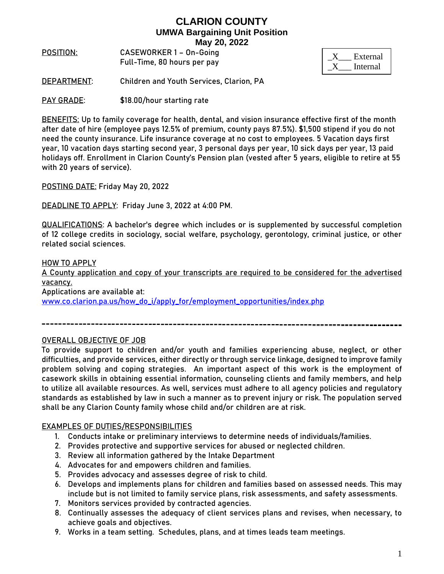**POSITION**: **CASEWORKER 1 – On-Going**  Full-Time, 80 hours per pay

| External |
|----------|
| Internal |

**DEPARTMENT**: Children and Youth Services, Clarion, PA

**PAY GRADE:** \$18.00/hour starting rate

**BENEFITS:** Up to family coverage for health, dental, and vision insurance effective first of the month after date of hire (employee pays 12.5% of premium, county pays 87.5%). \$1,500 stipend if you do not need the county insurance. Life insurance coverage at no cost to employees. 5 Vacation days first year, 10 vacation days starting second year, 3 personal days per year, 10 sick days per year, 13 paid holidays off. Enrollment in Clarion County's Pension plan (vested after 5 years, eligible to retire at 55 with 20 years of service).

**POSTING DATE:** Friday May 20, 2022

**DEADLINE TO APPLY:** Friday June 3, 2022 at 4:00 PM.

**QUALIFICATIONS:** A bachelor's degree which includes or is supplemented by successful completion of 12 college credits in sociology, social welfare, psychology, gerontology, criminal justice, or other related social sciences.

#### **HOW TO APPLY**

A County application and copy of your transcripts are required to be considered for the advertised vacancy.

Applications are available at:

[www.co.clarion.pa.us/how\\_do\\_i/apply\\_for/employment\\_opportunities/index.php](http://www.co.clarion.pa.us/how_do_i/apply_for/employment_opportunities/index.php)

### **OVERALL OBJECTIVE OF JOB**

To provide support to children and/or youth and families experiencing abuse, neglect, or other difficulties, and provide services, either directly or through service linkage, designed to improve family problem solving and coping strategies. An important aspect of this work is the employment of casework skills in obtaining essential information, counseling clients and family members, and help to utilize all available resources. As well, services must adhere to all agency policies and regulatory standards as established by law in such a manner as to prevent injury or risk. The population served shall be any Clarion County family whose child and/or children are at risk.

### **EXAMPLES OF DUTIES/RESPONSIBILITIES**

- 1. Conducts intake or preliminary interviews to determine needs of individuals/families.
- 2. Provides protective and supportive services for abused or neglected children.
- 3. Review all information gathered by the Intake Department
- 4. Advocates for and empowers children and families.
- 5. Provides advocacy and assesses degree of risk to child.
- 6. Develops and implements plans for children and families based on assessed needs. This may include but is not limited to family service plans, risk assessments, and safety assessments.
- 7. Monitors services provided by contracted agencies.
- 8. Continually assesses the adequacy of client services plans and revises, when necessary, to achieve goals and objectives.
- 9. Works in a team setting. Schedules, plans, and at times leads team meetings.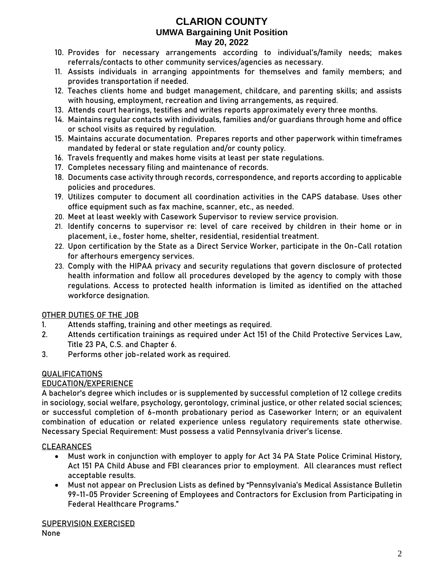- 10. Provides for necessary arrangements according to individual's/family needs; makes referrals/contacts to other community services/agencies as necessary.
- 11. Assists individuals in arranging appointments for themselves and family members; and provides transportation if needed.
- 12. Teaches clients home and budget management, childcare, and parenting skills; and assists with housing, employment, recreation and living arrangements, as required.
- 13. Attends court hearings, testifies and writes reports approximately every three months.
- 14. Maintains regular contacts with individuals, families and/or guardians through home and office or school visits as required by regulation.
- 15. Maintains accurate documentation. Prepares reports and other paperwork within timeframes mandated by federal or state regulation and/or county policy.
- 16. Travels frequently and makes home visits at least per state regulations.
- 17. Completes necessary filing and maintenance of records.
- 18. Documents case activity through records, correspondence, and reports according to applicable policies and procedures.
- 19. Utilizes computer to document all coordination activities in the CAPS database. Uses other office equipment such as fax machine, scanner, etc., as needed.
- 20. Meet at least weekly with Casework Supervisor to review service provision.
- 21. Identify concerns to supervisor re: level of care received by children in their home or in placement, i.e., foster home, shelter, residential, residential treatment.
- 22. Upon certification by the State as a Direct Service Worker, participate in the On-Call rotation for afterhours emergency services.
- 23. Comply with the HIPAA privacy and security regulations that govern disclosure of protected health information and follow all procedures developed by the agency to comply with those regulations. Access to protected health information is limited as identified on the attached workforce designation.

# **OTHER DUTIES OF THE JOB**

- 1. Attends staffing, training and other meetings as required.
- 2. Attends certification trainings as required under Act 151 of the Child Protective Services Law, Title 23 PA, C.S. and Chapter 6.
- 3. Performs other job-related work as required.

# **QUALIFICATIONS**

# EDUCATION/EXPERIENCE

A bachelor's degree which includes or is supplemented by successful completion of 12 college credits in sociology, social welfare, psychology, gerontology, criminal justice, or other related social sciences; **or** successful completion of 6-month probationary period as Caseworker Intern; **or** an equivalent combination of education or related experience unless regulatory requirements state otherwise. Necessary Special Requirement: Must possess a valid Pennsylvania driver's license.

# **CLEARANCES**

- Must work in conjunction with employer to apply for Act 34 PA State Police Criminal History, Act 151 PA Child Abuse and FBI clearances prior to employment. All clearances must reflect acceptable results.
- Must not appear on Preclusion Lists as defined by "Pennsylvania's Medical Assistance Bulletin 99-11-05 Provider Screening of Employees and Contractors for Exclusion from Participating in Federal Healthcare Programs."

# **SUPERVISION EXERCISED**

None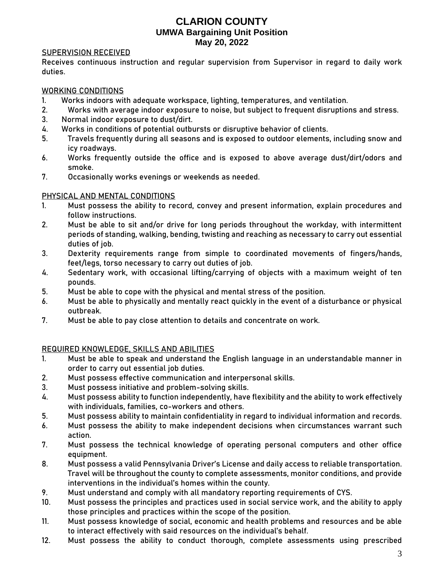#### **SUPERVISION RECEIVED**

Receives continuous instruction and regular supervision from Supervisor in regard to daily work duties.

### **WORKING CONDITIONS**

- 1. Works indoors with adequate workspace, lighting, temperatures, and ventilation.
- 2. Works with average indoor exposure to noise, but subject to frequent disruptions and stress.
- 3. Normal indoor exposure to dust/dirt.
- 4. Works in conditions of potential outbursts or disruptive behavior of clients.
- 5. Travels frequently during all seasons and is exposed to outdoor elements, including snow and icy roadways.
- 6. Works frequently outside the office and is exposed to above average dust/dirt/odors and smoke.
- 7. Occasionally works evenings or weekends as needed.

### **PHYSICAL AND MENTAL CONDITIONS**

- 1. Must possess the ability to record, convey and present information, explain procedures and follow instructions.
- 2. Must be able to sit and/or drive for long periods throughout the workday, with intermittent periods of standing, walking, bending, twisting and reaching as necessary to carry out essential duties of job.
- 3. Dexterity requirements range from simple to coordinated movements of fingers/hands, feet/legs, torso necessary to carry out duties of job.
- 4. Sedentary work, with occasional lifting/carrying of objects with a maximum weight of ten pounds.
- 5. Must be able to cope with the physical and mental stress of the position.
- 6. Must be able to physically and mentally react quickly in the event of a disturbance or physical outbreak.
- 7. Must be able to pay close attention to details and concentrate on work.

### **REQUIRED KNOWLEDGE, SKILLS AND ABILITIES**

- 1. Must be able to speak and understand the English language in an understandable manner in order to carry out essential job duties.
- 2. Must possess effective communication and interpersonal skills.
- 3. Must possess initiative and problem-solving skills.
- 4. Must possess ability to function independently, have flexibility and the ability to work effectively with individuals, families, co-workers and others.
- 5. Must possess ability to maintain confidentiality in regard to individual information and records.
- 6. Must possess the ability to make independent decisions when circumstances warrant such action.
- 7. Must possess the technical knowledge of operating personal computers and other office equipment.
- 8. Must possess a valid Pennsylvania Driver's License and daily access to reliable transportation. Travel will be throughout the county to complete assessments, monitor conditions, and provide interventions in the individual's homes within the county.
- 9. Must understand and comply with all mandatory reporting requirements of CYS.
- 10. Must possess the principles and practices used in social service work, and the ability to apply those principles and practices within the scope of the position.
- 11. Must possess knowledge of social, economic and health problems and resources and be able to interact effectively with said resources on the individual's behalf.
- 12. Must possess the ability to conduct thorough, complete assessments using prescribed